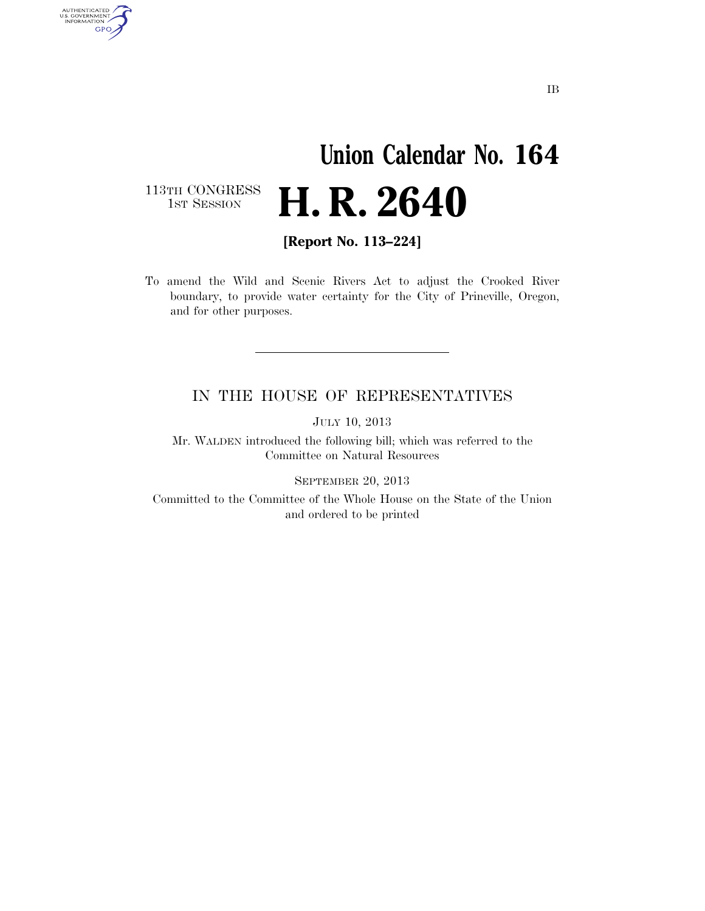# **Union Calendar No. 164 H. R. 2640**

113TH CONGRESS<br>1st Session

AUTHENTICATED<br>U.S. GOVERNMENT<br>INFORMATION

GPO

**[Report No. 113–224]** 

To amend the Wild and Scenic Rivers Act to adjust the Crooked River boundary, to provide water certainty for the City of Prineville, Oregon, and for other purposes.

### IN THE HOUSE OF REPRESENTATIVES

JULY 10, 2013

Mr. WALDEN introduced the following bill; which was referred to the Committee on Natural Resources

SEPTEMBER 20, 2013

Committed to the Committee of the Whole House on the State of the Union and ordered to be printed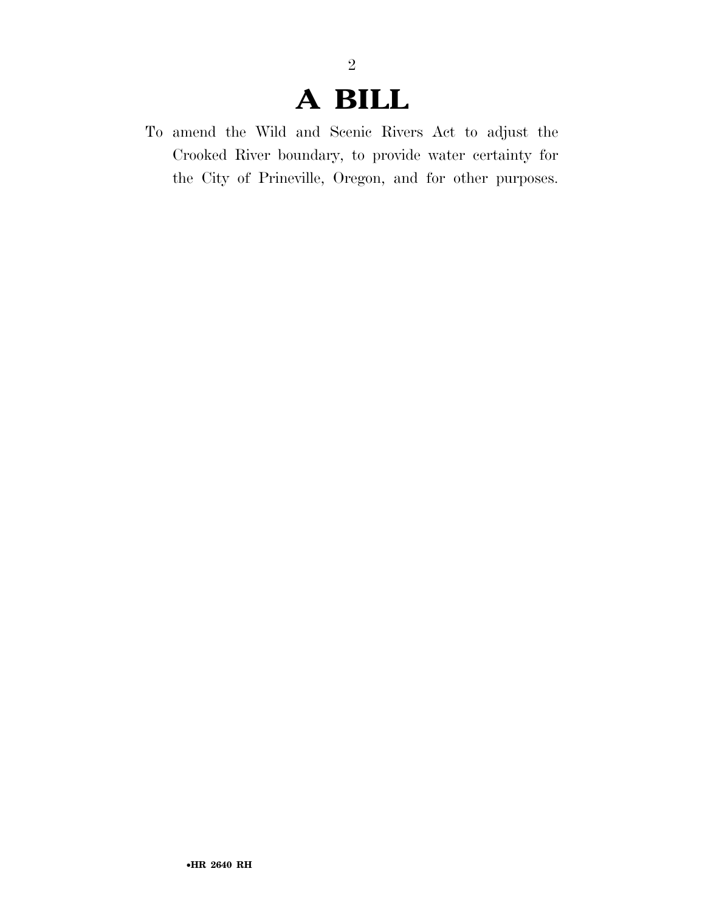### **A BILL**

2

To amend the Wild and Scenic Rivers Act to adjust the Crooked River boundary, to provide water certainty for the City of Prineville, Oregon, and for other purposes.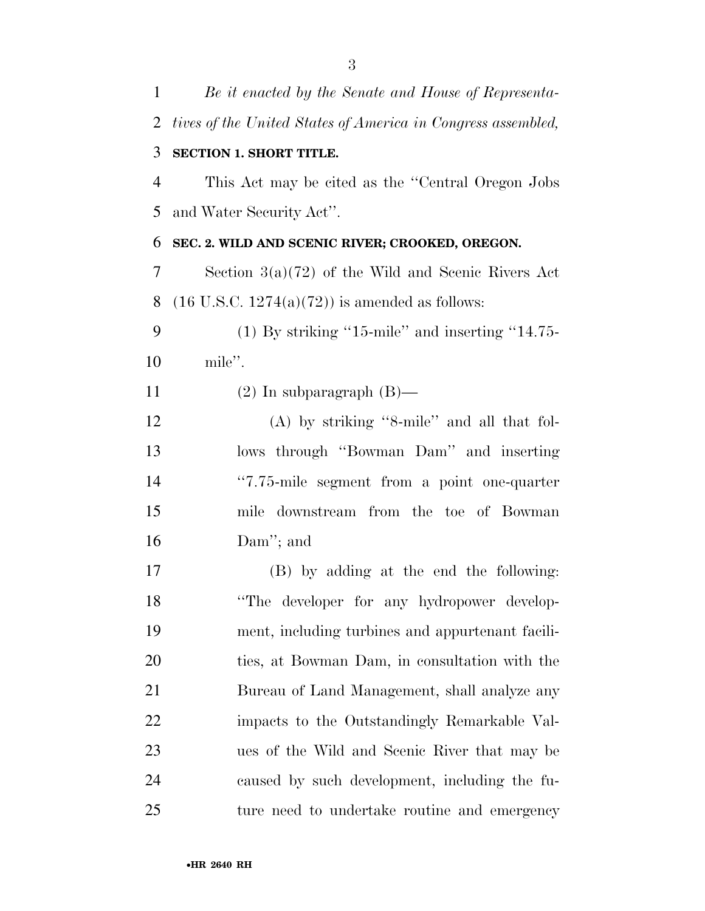| $\mathbf{1}$   | Be it enacted by the Senate and House of Representa-         |
|----------------|--------------------------------------------------------------|
| $\overline{2}$ | tives of the United States of America in Congress assembled, |
| 3              | <b>SECTION 1. SHORT TITLE.</b>                               |
| 4              | This Act may be cited as the "Central Oregon Jobs"           |
| 5              | and Water Security Act".                                     |
| 6              | SEC. 2. WILD AND SCENIC RIVER; CROOKED, OREGON.              |
| 7              | Section $3(a)(72)$ of the Wild and Scenic Rivers Act         |
| 8              | $(16 \text{ U.S.C. } 1274(a)(72))$ is amended as follows:    |
| 9              | $(1)$ By striking "15-mile" and inserting "14.75-            |
| 10             | mile".                                                       |
| 11             | $(2)$ In subparagraph $(B)$ —                                |
| 12             | $(A)$ by striking "8-mile" and all that fol-                 |
| 13             | lows through "Bowman Dam" and inserting                      |
| 14             | "7.75-mile segment from a point one-quarter                  |
| 15             | mile downstream from the toe of Bowman                       |
| 16             | Dam''; and                                                   |
| 17             | (B) by adding at the end the following:                      |
| 18             | "The developer for any hydropower develop-                   |
| 19             | ment, including turbines and appurtenant facili-             |
| 20             | ties, at Bowman Dam, in consultation with the                |
| 21             | Bureau of Land Management, shall analyze any                 |
| 22             | impacts to the Outstandingly Remarkable Val-                 |
| 23             | ues of the Wild and Scenic River that may be                 |
| 24             | caused by such development, including the fu-                |
| 25             | ture need to undertake routine and emergency                 |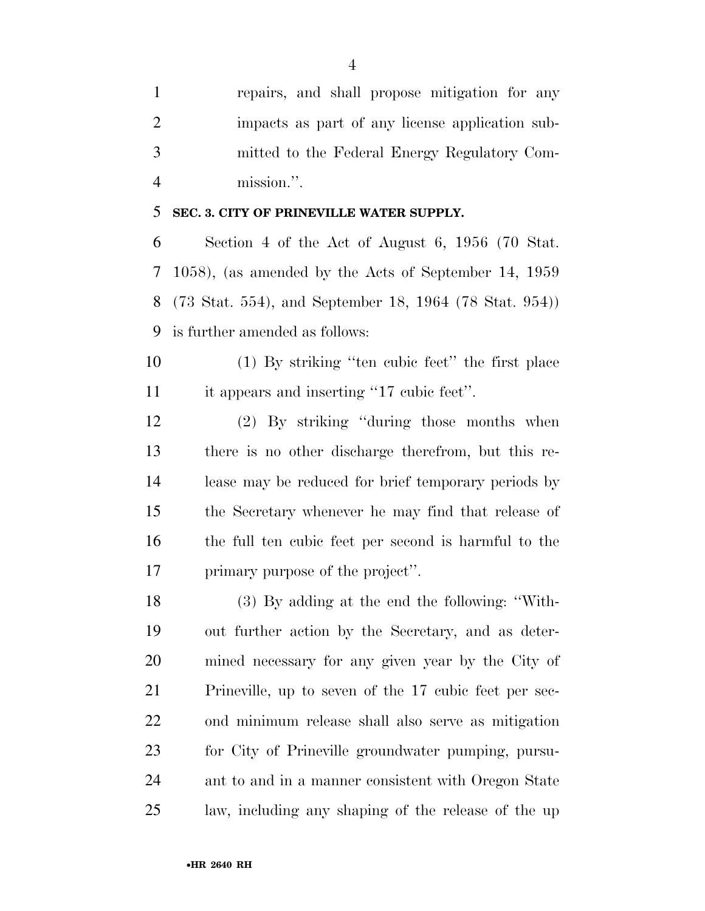| $\mathbf{1}$   | repairs, and shall propose mitigation for any            |
|----------------|----------------------------------------------------------|
| 2              | impacts as part of any license application sub-          |
| 3              | mitted to the Federal Energy Regulatory Com-             |
| $\overline{4}$ | mission.".                                               |
| 5              | SEC. 3. CITY OF PRINEVILLE WATER SUPPLY.                 |
| 6              | Section 4 of the Act of August 6, $1956$ (70 Stat.       |
|                | 7 1058), (as amended by the Acts of September 14, 1959   |
|                | 8 (73 Stat. 554), and September 18, 1964 (78 Stat. 954)) |
|                | 9 is further amended as follows:                         |

 (1) By striking ''ten cubic feet'' the first place it appears and inserting ''17 cubic feet''.

 (2) By striking ''during those months when there is no other discharge therefrom, but this re- lease may be reduced for brief temporary periods by the Secretary whenever he may find that release of the full ten cubic feet per second is harmful to the primary purpose of the project''.

 (3) By adding at the end the following: ''With- out further action by the Secretary, and as deter- mined necessary for any given year by the City of Prineville, up to seven of the 17 cubic feet per sec- ond minimum release shall also serve as mitigation for City of Prineville groundwater pumping, pursu- ant to and in a manner consistent with Oregon State law, including any shaping of the release of the up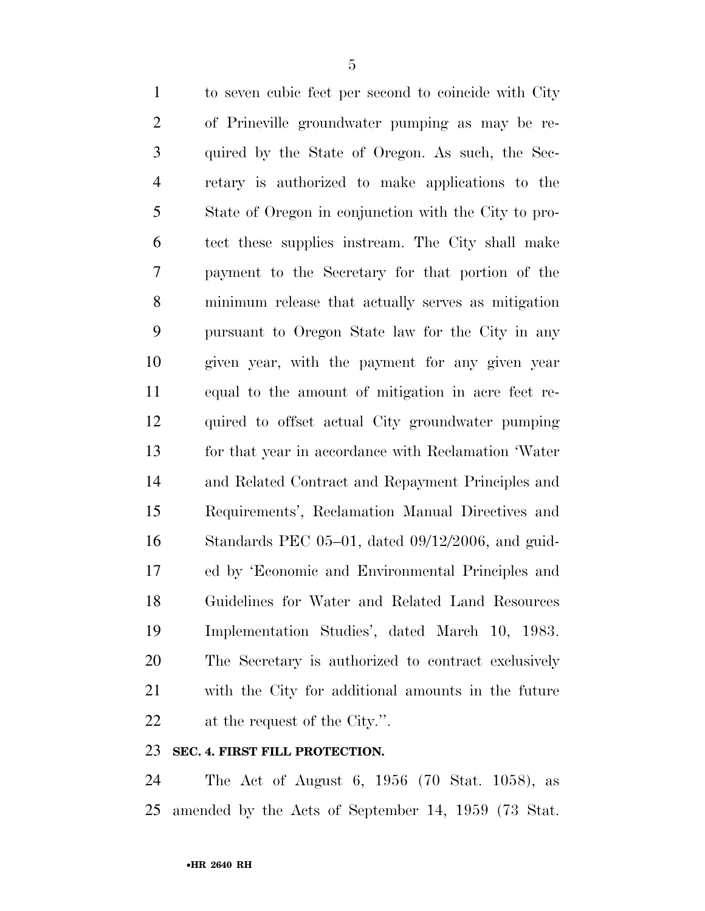to seven cubic feet per second to coincide with City of Prineville groundwater pumping as may be re- quired by the State of Oregon. As such, the Sec- retary is authorized to make applications to the State of Oregon in conjunction with the City to pro- tect these supplies instream. The City shall make payment to the Secretary for that portion of the minimum release that actually serves as mitigation pursuant to Oregon State law for the City in any given year, with the payment for any given year equal to the amount of mitigation in acre feet re- quired to offset actual City groundwater pumping for that year in accordance with Reclamation 'Water and Related Contract and Repayment Principles and Requirements', Reclamation Manual Directives and Standards PEC 05–01, dated 09/12/2006, and guid- ed by 'Economic and Environmental Principles and Guidelines for Water and Related Land Resources Implementation Studies', dated March 10, 1983. The Secretary is authorized to contract exclusively with the City for additional amounts in the future at the request of the City.''.

#### **SEC. 4. FIRST FILL PROTECTION.**

 The Act of August 6, 1956 (70 Stat. 1058), as amended by the Acts of September 14, 1959 (73 Stat.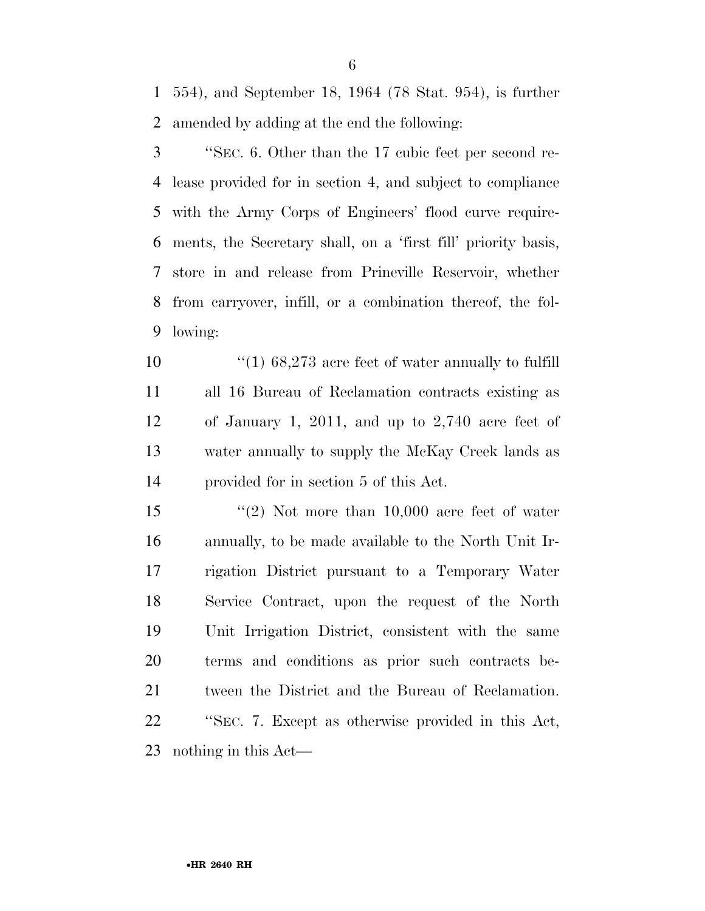554), and September 18, 1964 (78 Stat. 954), is further amended by adding at the end the following:

 ''SEC. 6. Other than the 17 cubic feet per second re- lease provided for in section 4, and subject to compliance with the Army Corps of Engineers' flood curve require- ments, the Secretary shall, on a 'first fill' priority basis, store in and release from Prineville Reservoir, whether from carryover, infill, or a combination thereof, the fol-lowing:

10 ''(1) 68,273 acre feet of water annually to fulfill all 16 Bureau of Reclamation contracts existing as of January 1, 2011, and up to 2,740 acre feet of water annually to supply the McKay Creek lands as provided for in section 5 of this Act.

 ''(2) Not more than 10,000 acre feet of water annually, to be made available to the North Unit Ir- rigation District pursuant to a Temporary Water Service Contract, upon the request of the North Unit Irrigation District, consistent with the same terms and conditions as prior such contracts be- tween the District and the Bureau of Reclamation. ''SEC. 7. Except as otherwise provided in this Act, nothing in this Act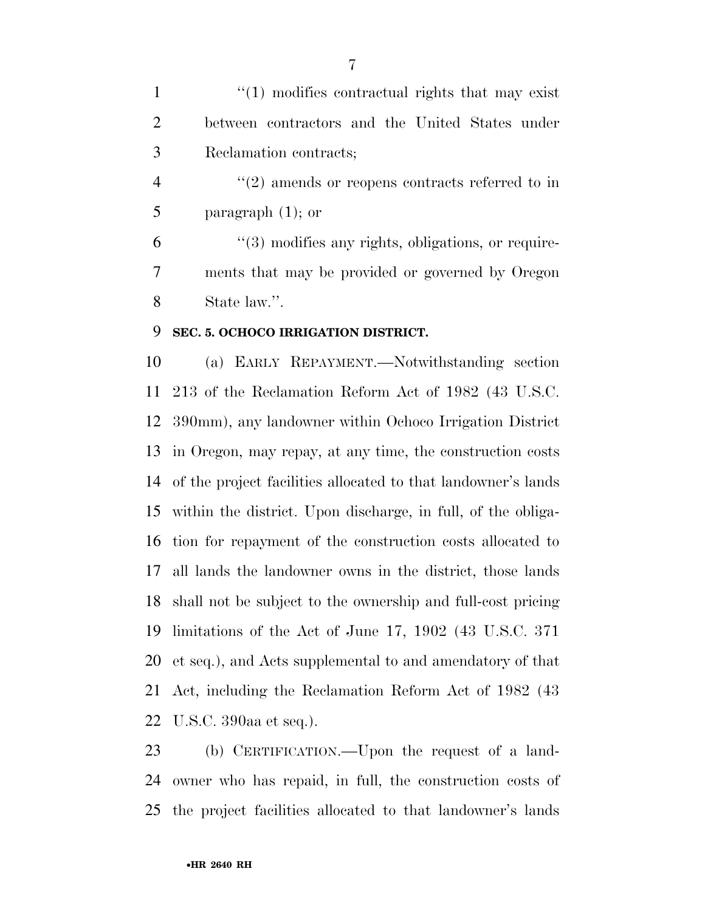1 ''(1) modifies contractual rights that may exist between contractors and the United States under Reclamation contracts;

4  $\frac{u(2)}{2}$  amends or reopens contracts referred to in paragraph (1); or

 $(3)$  modifies any rights, obligations, or require- ments that may be provided or governed by Oregon State law.''.

#### **SEC. 5. OCHOCO IRRIGATION DISTRICT.**

 (a) EARLY REPAYMENT.—Notwithstanding section 213 of the Reclamation Reform Act of 1982 (43 U.S.C. 390mm), any landowner within Ochoco Irrigation District in Oregon, may repay, at any time, the construction costs of the project facilities allocated to that landowner's lands within the district. Upon discharge, in full, of the obliga- tion for repayment of the construction costs allocated to all lands the landowner owns in the district, those lands shall not be subject to the ownership and full-cost pricing limitations of the Act of June 17, 1902 (43 U.S.C. 371 et seq.), and Acts supplemental to and amendatory of that Act, including the Reclamation Reform Act of 1982 (43 U.S.C. 390aa et seq.).

 (b) CERTIFICATION.—Upon the request of a land- owner who has repaid, in full, the construction costs of the project facilities allocated to that landowner's lands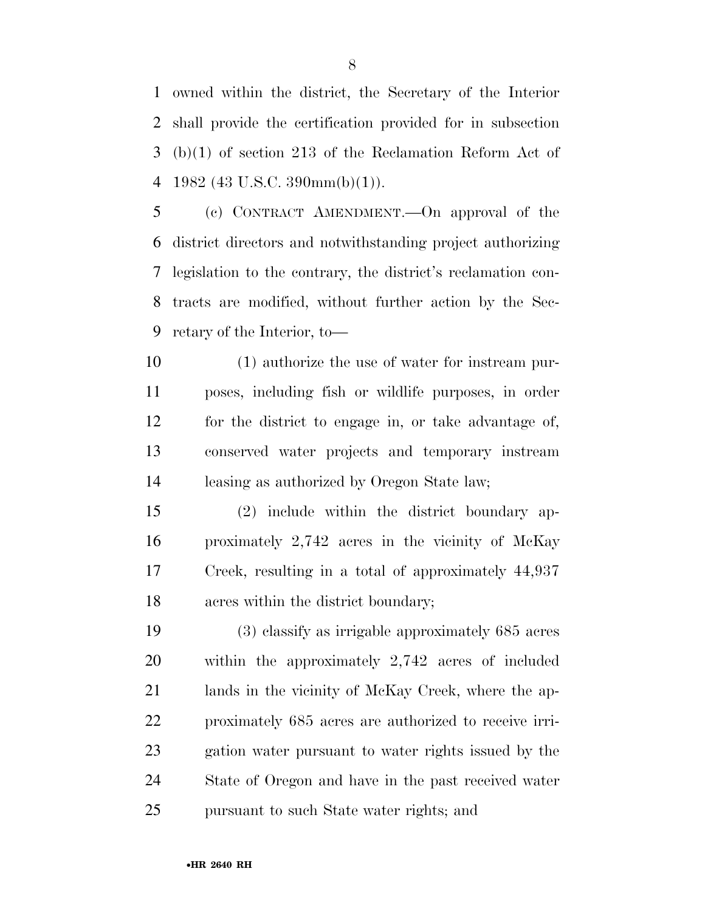owned within the district, the Secretary of the Interior shall provide the certification provided for in subsection (b)(1) of section 213 of the Reclamation Reform Act of 4 1982 (43 U.S.C. 390mm(b)(1)).

 (c) CONTRACT AMENDMENT.—On approval of the district directors and notwithstanding project authorizing legislation to the contrary, the district's reclamation con- tracts are modified, without further action by the Sec-retary of the Interior, to—

 (1) authorize the use of water for instream pur- poses, including fish or wildlife purposes, in order for the district to engage in, or take advantage of, conserved water projects and temporary instream leasing as authorized by Oregon State law;

 (2) include within the district boundary ap- proximately 2,742 acres in the vicinity of McKay Creek, resulting in a total of approximately 44,937 acres within the district boundary;

 (3) classify as irrigable approximately 685 acres within the approximately 2,742 acres of included lands in the vicinity of McKay Creek, where the ap- proximately 685 acres are authorized to receive irri- gation water pursuant to water rights issued by the State of Oregon and have in the past received water pursuant to such State water rights; and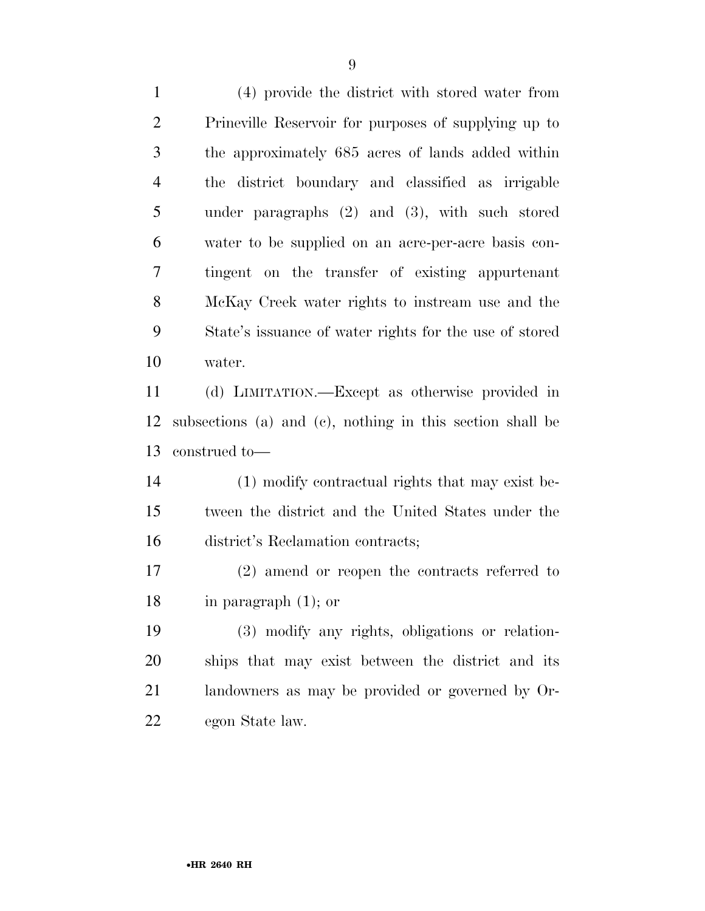(4) provide the district with stored water from Prineville Reservoir for purposes of supplying up to the approximately 685 acres of lands added within the district boundary and classified as irrigable under paragraphs (2) and (3), with such stored water to be supplied on an acre-per-acre basis con- tingent on the transfer of existing appurtenant McKay Creek water rights to instream use and the State's issuance of water rights for the use of stored water.

 (d) LIMITATION.—Except as otherwise provided in subsections (a) and (c), nothing in this section shall be construed to—

 (1) modify contractual rights that may exist be- tween the district and the United States under the district's Reclamation contracts;

 (2) amend or reopen the contracts referred to in paragraph (1); or

 (3) modify any rights, obligations or relation- ships that may exist between the district and its landowners as may be provided or governed by Or-egon State law.